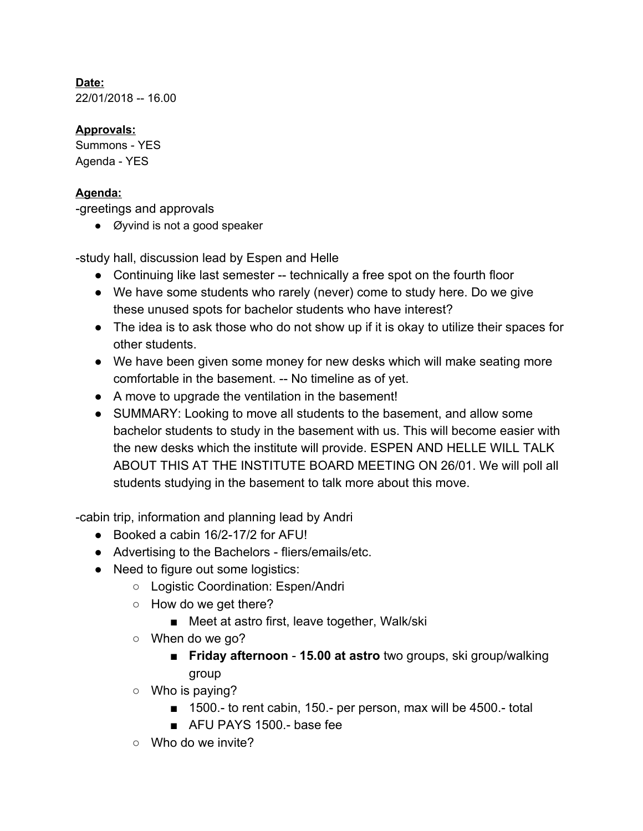**Date:** 22/01/2018 -- 16.00

## **Approvals:**

Summons - YES Agenda - YES

## **Agenda:**

-greetings and approvals

• Øyvind is not a good speaker

-study hall, discussion lead by Espen and Helle

- Continuing like last semester -- technically a free spot on the fourth floor
- We have some students who rarely (never) come to study here. Do we give these unused spots for bachelor students who have interest?
- The idea is to ask those who do not show up if it is okay to utilize their spaces for other students.
- We have been given some money for new desks which will make seating more comfortable in the basement. -- No timeline as of yet.
- A move to upgrade the ventilation in the basement!
- SUMMARY: Looking to move all students to the basement, and allow some bachelor students to study in the basement with us. This will become easier with the new desks which the institute will provide. ESPEN AND HELLE WILL TALK ABOUT THIS AT THE INSTITUTE BOARD MEETING ON 26/01. We will poll all students studying in the basement to talk more about this move.

-cabin trip, information and planning lead by Andri

- Booked a cabin 16/2-17/2 for AFU!
- Advertising to the Bachelors fliers/emails/etc.
- Need to figure out some logistics:
	- Logistic Coordination: Espen/Andri
	- $\circ$  How do we get there?
		- Meet at astro first, leave together, Walk/ski
	- $\circ$  When do we go?
		- **Friday afternoon 15.00 at astro** two groups, ski group/walking group
	- $\circ$  Who is paying?
		- 1500.- to rent cabin, 150.- per person, max will be 4500.- total
		- AFU PAYS 1500 base fee
	- $\circ$  Who do we invite?